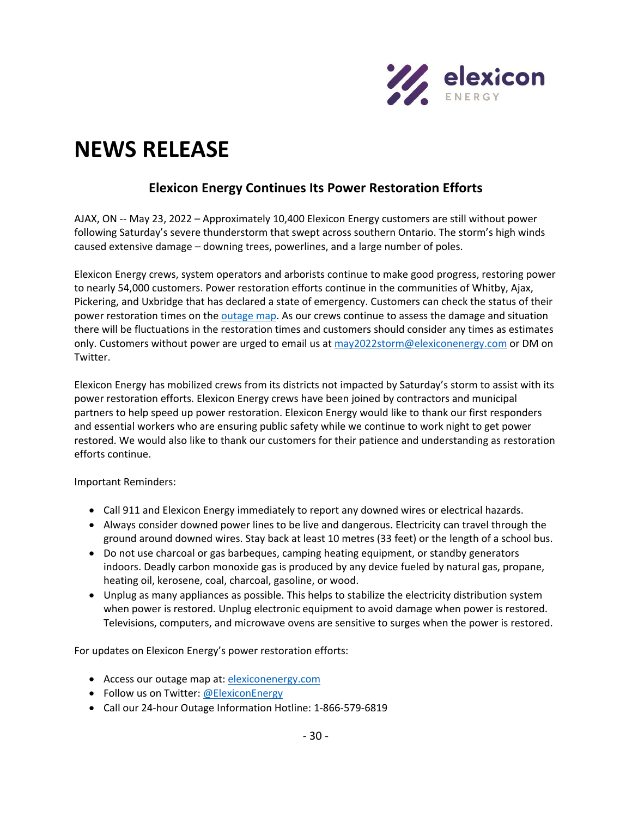

## **NEWS RELEASE**

## **Elexicon Energy Continues Its Power Restoration Efforts**

AJAX, ON -- May 23, 2022 – Approximately 10,400 Elexicon Energy customers are still without power following Saturday's severe thunderstorm that swept across southern Ontario. The storm's high winds caused extensive damage – downing trees, powerlines, and a large number of poles.

Elexicon Energy crews, system operators and arborists continue to make good progress, restoring power to nearly 54,000 customers. Power restoration efforts continue in the communities of Whitby, Ajax, Pickering, and Uxbridge that has declared a state of emergency. Customers can check the status of their power restoration times on the [outage map.](https://elexiconenergy.com/outages) As our crews continue to assess the damage and situation there will be fluctuations in the restoration times and customers should consider any times as estimates only. Customers without power are urged to email us at  $\frac{may2022s\text{torm@elexiconenergy.com}}{$  or DM on Twitter.

Elexicon Energy has mobilized crews from its districts not impacted by Saturday's storm to assist with its power restoration efforts. Elexicon Energy crews have been joined by contractors and municipal partners to help speed up power restoration. Elexicon Energy would like to thank our first responders and essential workers who are ensuring public safety while we continue to work night to get power restored. We would also like to thank our customers for their patience and understanding as restoration efforts continue.

Important Reminders:

- Call 911 and Elexicon Energy immediately to report any downed wires or electrical hazards.
- Always consider downed power lines to be live and dangerous. Electricity can travel through the ground around downed wires. Stay back at least 10 metres (33 feet) or the length of a school bus.
- Do not use charcoal or gas barbeques, camping heating equipment, or standby generators indoors. Deadly carbon monoxide gas is produced by any device fueled by natural gas, propane, heating oil, kerosene, coal, charcoal, gasoline, or wood.
- Unplug as many appliances as possible. This helps to stabilize the electricity distribution system when power is restored. Unplug electronic equipment to avoid damage when power is restored. Televisions, computers, and microwave ovens are sensitive to surges when the power is restored.

For updates on Elexicon Energy's power restoration efforts:

- Access our outage map at: [elexiconenergy.com](http://www.elexiconenergy.com/)
- Follow us on Twitter: [@ElexiconEnergy](http://www.twitter.com/ElexiconEnergy)
- Call our 24-hour Outage Information Hotline: 1-866-579-6819